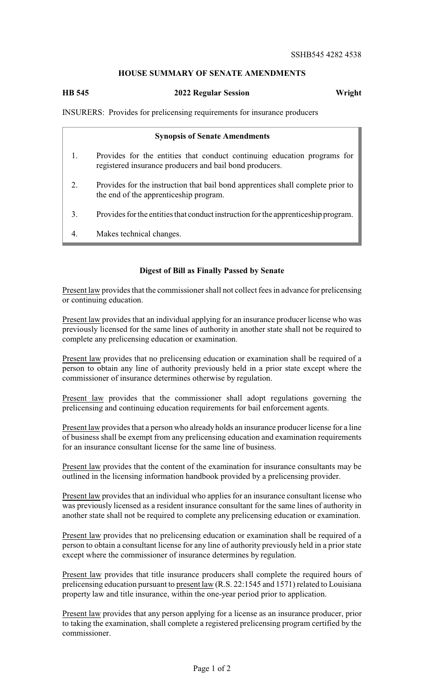## **HOUSE SUMMARY OF SENATE AMENDMENTS**

## **HB 545 2022 Regular Session Wright**

INSURERS: Provides for prelicensing requirements for insurance producers

|    | <b>Synopsis of Senate Amendments</b>                                                                                                |
|----|-------------------------------------------------------------------------------------------------------------------------------------|
|    | Provides for the entities that conduct continuing education programs for<br>registered insurance producers and bail bond producers. |
| 2. | Provides for the instruction that bail bond apprentices shall complete prior to<br>the end of the apprenticeship program.           |
| 3. | Provides for the entities that conduct instruction for the apprenticeship program.                                                  |
| 4. | Makes technical changes.                                                                                                            |

## **Digest of Bill as Finally Passed by Senate**

Present law provides that the commissioner shall not collect fees in advance for prelicensing or continuing education.

Present law provides that an individual applying for an insurance producer license who was previously licensed for the same lines of authority in another state shall not be required to complete any prelicensing education or examination.

Present law provides that no prelicensing education or examination shall be required of a person to obtain any line of authority previously held in a prior state except where the commissioner of insurance determines otherwise by regulation.

Present law provides that the commissioner shall adopt regulations governing the prelicensing and continuing education requirements for bail enforcement agents.

Present law provides that a person who already holds an insurance producer license for a line of business shall be exempt from any prelicensing education and examination requirements for an insurance consultant license for the same line of business.

Present law provides that the content of the examination for insurance consultants may be outlined in the licensing information handbook provided by a prelicensing provider.

Present law provides that an individual who applies for an insurance consultant license who was previously licensed as a resident insurance consultant for the same lines of authority in another state shall not be required to complete any prelicensing education or examination.

Present law provides that no prelicensing education or examination shall be required of a person to obtain a consultant license for any line of authority previously held in a prior state except where the commissioner of insurance determines by regulation.

Present law provides that title insurance producers shall complete the required hours of prelicensing education pursuant to present law (R.S. 22:1545 and 1571) related to Louisiana property law and title insurance, within the one-year period prior to application.

Present law provides that any person applying for a license as an insurance producer, prior to taking the examination, shall complete a registered prelicensing program certified by the commissioner.